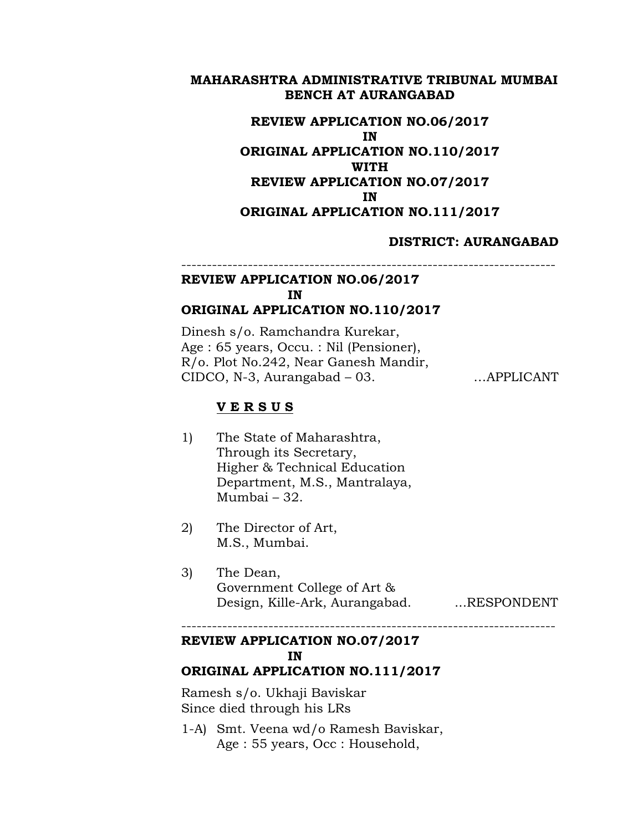## **MAHARASHTRA ADMINISTRATIVE TRIBUNAL MUMBAI BENCH AT AURANGABAD**

# **REVIEW APPLICATION NO.06/2017 IN ORIGINAL APPLICATION NO.110/2017 WITH REVIEW APPLICATION NO.07/2017 IN ORIGINAL APPLICATION NO.111/2017**

## **DISTRICT: AURANGABAD**

#### ------------------------------------------------------------------------- **REVIEW APPLICATION NO.06/2017**

#### **IN**

# **ORIGINAL APPLICATION NO.110/2017**

Dinesh s/o. Ramchandra Kurekar, Age : 65 years, Occu. : Nil (Pensioner), R/o. Plot No.242, Near Ganesh Mandir, CIDCO, N-3, Aurangabad – 03. …APPLICANT

## **V E R S U S**

- 1) The State of Maharashtra, Through its Secretary, Higher & Technical Education Department, M.S., Mantralaya, Mumbai – 32.
- 2) The Director of Art, M.S., Mumbai.
- 3) The Dean, Government College of Art & Design, Kille-Ark, Aurangabad. ...RESPONDENT

-------------------------------------------------------------------------

# **REVIEW APPLICATION NO.07/2017 IN**

## **ORIGINAL APPLICATION NO.111/2017**

Ramesh s/o. Ukhaji Baviskar Since died through his LRs

1-A) Smt. Veena wd/o Ramesh Baviskar, Age : 55 years, Occ : Household,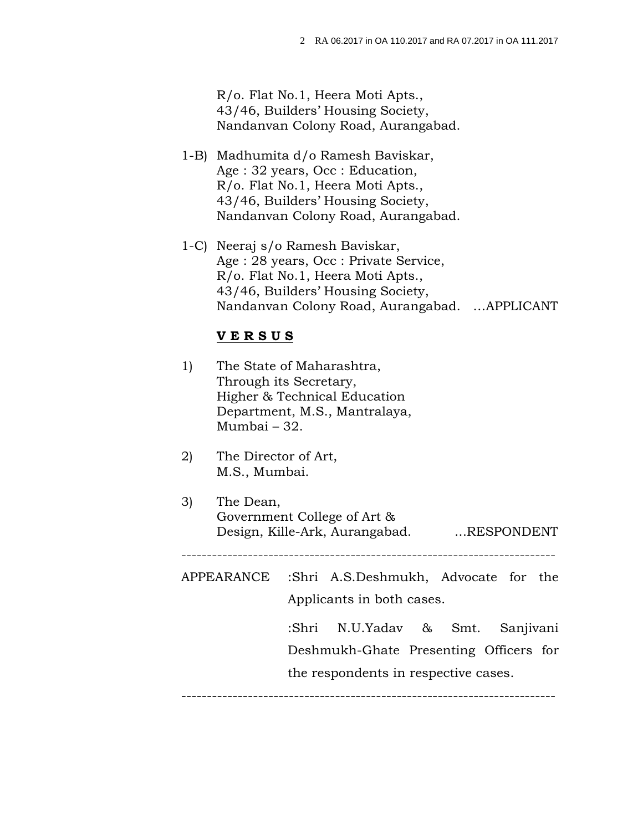R/o. Flat No.1, Heera Moti Apts., 43/46, Builders' Housing Society, Nandanvan Colony Road, Aurangabad.

- 1-B) Madhumita d/o Ramesh Baviskar, Age : 32 years, Occ : Education, R/o. Flat No.1, Heera Moti Apts., 43/46, Builders' Housing Society, Nandanvan Colony Road, Aurangabad.
- 1-C) Neeraj s/o Ramesh Baviskar, Age : 28 years, Occ : Private Service, R/o. Flat No.1, Heera Moti Apts., 43/46, Builders' Housing Society, Nandanvan Colony Road, Aurangabad. …APPLICANT

#### **V E R S U S**

- 1) The State of Maharashtra, Through its Secretary, Higher & Technical Education Department, M.S., Mantralaya, Mumbai – 32.
- 2) The Director of Art, M.S., Mumbai.
- 3) The Dean, Government College of Art & Design, Kille-Ark, Aurangabad. ...RESPONDENT

-------------------------------------------------------------------------

APPEARANCE :Shri A.S.Deshmukh, Advocate for the Applicants in both cases.

-------------------------------------------------------------------------

:Shri N.U.Yadav & Smt. Sanjivani Deshmukh-Ghate Presenting Officers for the respondents in respective cases.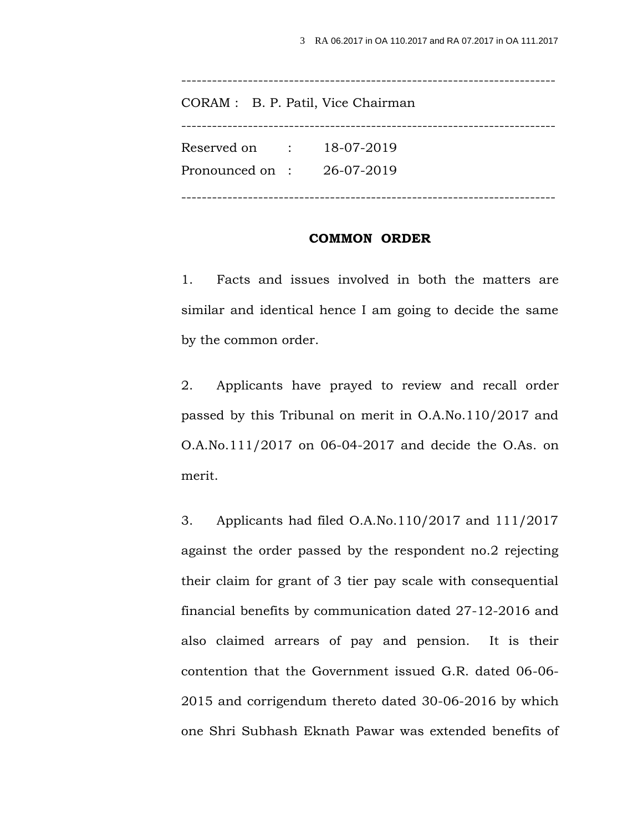| CORAM : B. P. Patil, Vice Chairman                    |  |
|-------------------------------------------------------|--|
| Reserved on $18-07-2019$<br>Pronounced on: 26-07-2019 |  |

#### **COMMON ORDER**

1. Facts and issues involved in both the matters are similar and identical hence I am going to decide the same by the common order.

2. Applicants have prayed to review and recall order passed by this Tribunal on merit in O.A.No.110/2017 and O.A.No.111/2017 on 06-04-2017 and decide the O.As. on merit.

3. Applicants had filed O.A.No.110/2017 and 111/2017 against the order passed by the respondent no.2 rejecting their claim for grant of 3 tier pay scale with consequential financial benefits by communication dated 27-12-2016 and also claimed arrears of pay and pension. It is their contention that the Government issued G.R. dated 06-06- 2015 and corrigendum thereto dated 30-06-2016 by which one Shri Subhash Eknath Pawar was extended benefits of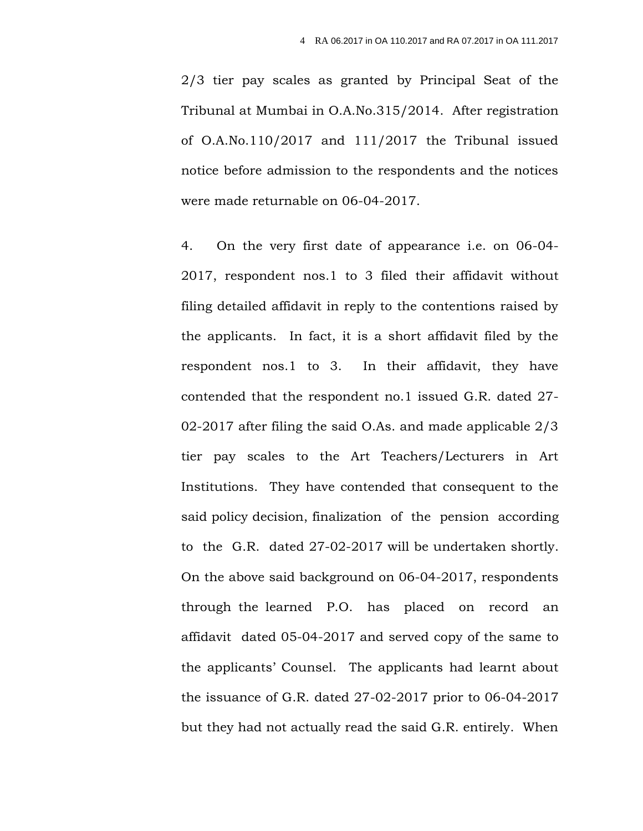2/3 tier pay scales as granted by Principal Seat of the Tribunal at Mumbai in O.A.No.315/2014. After registration of O.A.No.110/2017 and 111/2017 the Tribunal issued notice before admission to the respondents and the notices were made returnable on 06-04-2017.

4. On the very first date of appearance i.e. on 06-04- 2017, respondent nos.1 to 3 filed their affidavit without filing detailed affidavit in reply to the contentions raised by the applicants. In fact, it is a short affidavit filed by the respondent nos.1 to 3. In their affidavit, they have contended that the respondent no.1 issued G.R. dated 27- 02-2017 after filing the said O.As. and made applicable 2/3 tier pay scales to the Art Teachers/Lecturers in Art Institutions. They have contended that consequent to the said policy decision, finalization of the pension according to the G.R. dated 27-02-2017 will be undertaken shortly. On the above said background on 06-04-2017, respondents through the learned P.O. has placed on record an affidavit dated 05-04-2017 and served copy of the same to the applicants' Counsel. The applicants had learnt about the issuance of G.R. dated 27-02-2017 prior to 06-04-2017 but they had not actually read the said G.R. entirely. When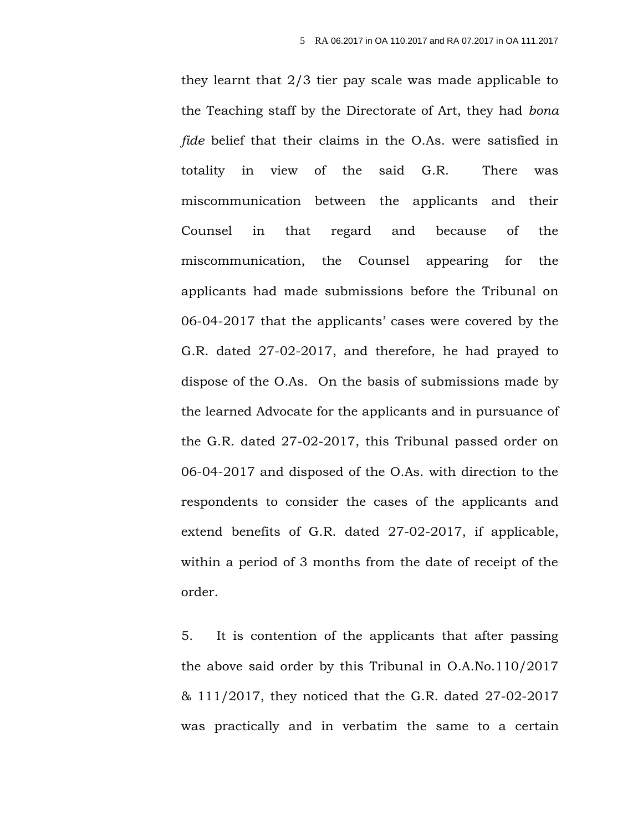they learnt that 2/3 tier pay scale was made applicable to the Teaching staff by the Directorate of Art, they had *bona fide* belief that their claims in the O.As. were satisfied in totality in view of the said G.R. There was miscommunication between the applicants and their Counsel in that regard and because of the miscommunication, the Counsel appearing for the applicants had made submissions before the Tribunal on 06-04-2017 that the applicants' cases were covered by the G.R. dated 27-02-2017, and therefore, he had prayed to dispose of the O.As. On the basis of submissions made by the learned Advocate for the applicants and in pursuance of the G.R. dated 27-02-2017, this Tribunal passed order on 06-04-2017 and disposed of the O.As. with direction to the respondents to consider the cases of the applicants and extend benefits of G.R. dated 27-02-2017, if applicable, within a period of 3 months from the date of receipt of the order.

5. It is contention of the applicants that after passing the above said order by this Tribunal in O.A.No.110/2017 & 111/2017, they noticed that the G.R. dated 27-02-2017 was practically and in verbatim the same to a certain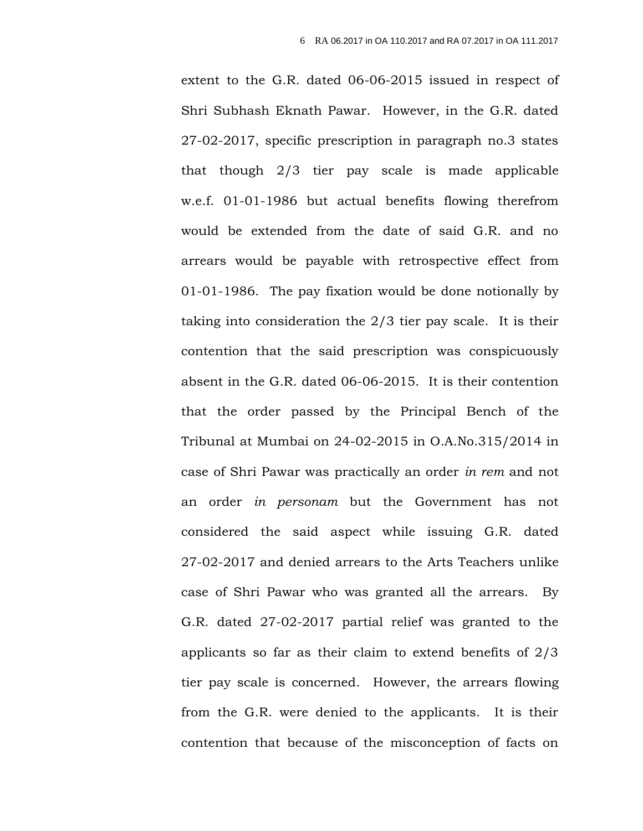extent to the G.R. dated 06-06-2015 issued in respect of Shri Subhash Eknath Pawar. However, in the G.R. dated 27-02-2017, specific prescription in paragraph no.3 states that though 2/3 tier pay scale is made applicable w.e.f. 01-01-1986 but actual benefits flowing therefrom would be extended from the date of said G.R. and no arrears would be payable with retrospective effect from 01-01-1986. The pay fixation would be done notionally by taking into consideration the 2/3 tier pay scale. It is their contention that the said prescription was conspicuously absent in the G.R. dated 06-06-2015. It is their contention that the order passed by the Principal Bench of the Tribunal at Mumbai on 24-02-2015 in O.A.No.315/2014 in case of Shri Pawar was practically an order *in rem* and not an order *in personam* but the Government has not considered the said aspect while issuing G.R. dated 27-02-2017 and denied arrears to the Arts Teachers unlike case of Shri Pawar who was granted all the arrears. By G.R. dated 27-02-2017 partial relief was granted to the applicants so far as their claim to extend benefits of 2/3 tier pay scale is concerned. However, the arrears flowing from the G.R. were denied to the applicants. It is their contention that because of the misconception of facts on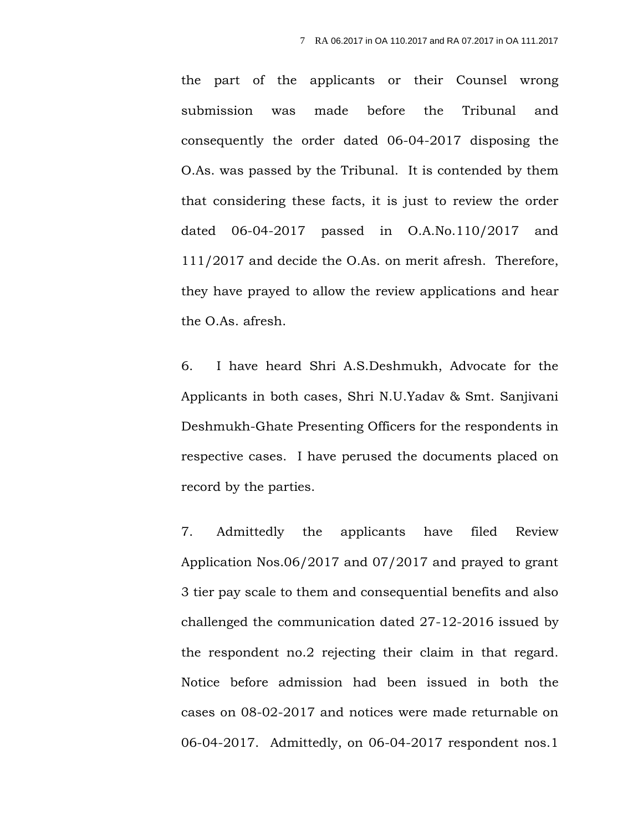the part of the applicants or their Counsel wrong submission was made before the Tribunal and consequently the order dated 06-04-2017 disposing the O.As. was passed by the Tribunal. It is contended by them that considering these facts, it is just to review the order dated 06-04-2017 passed in O.A.No.110/2017 and 111/2017 and decide the O.As. on merit afresh. Therefore, they have prayed to allow the review applications and hear the O.As. afresh.

6. I have heard Shri A.S.Deshmukh, Advocate for the Applicants in both cases, Shri N.U.Yadav & Smt. Sanjivani Deshmukh-Ghate Presenting Officers for the respondents in respective cases. I have perused the documents placed on record by the parties.

7. Admittedly the applicants have filed Review Application Nos.06/2017 and 07/2017 and prayed to grant 3 tier pay scale to them and consequential benefits and also challenged the communication dated 27-12-2016 issued by the respondent no.2 rejecting their claim in that regard. Notice before admission had been issued in both the cases on 08-02-2017 and notices were made returnable on 06-04-2017. Admittedly, on 06-04-2017 respondent nos.1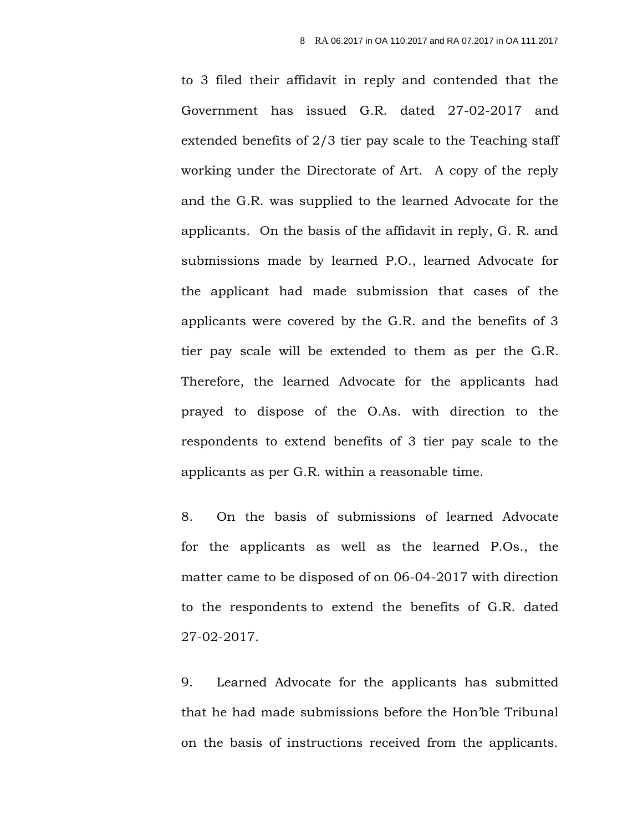to 3 filed their affidavit in reply and contended that the Government has issued G.R. dated 27-02-2017 and extended benefits of 2/3 tier pay scale to the Teaching staff working under the Directorate of Art. A copy of the reply and the G.R. was supplied to the learned Advocate for the applicants. On the basis of the affidavit in reply, G. R. and submissions made by learned P.O., learned Advocate for the applicant had made submission that cases of the applicants were covered by the G.R. and the benefits of 3 tier pay scale will be extended to them as per the G.R. Therefore, the learned Advocate for the applicants had prayed to dispose of the O.As. with direction to the respondents to extend benefits of 3 tier pay scale to the applicants as per G.R. within a reasonable time.

8. On the basis of submissions of learned Advocate for the applicants as well as the learned P.Os., the matter came to be disposed of on 06-04-2017 with direction to the respondents to extend the benefits of G.R. dated 27-02-2017.

9. Learned Advocate for the applicants has submitted that he had made submissions before the Hon'ble Tribunal on the basis of instructions received from the applicants.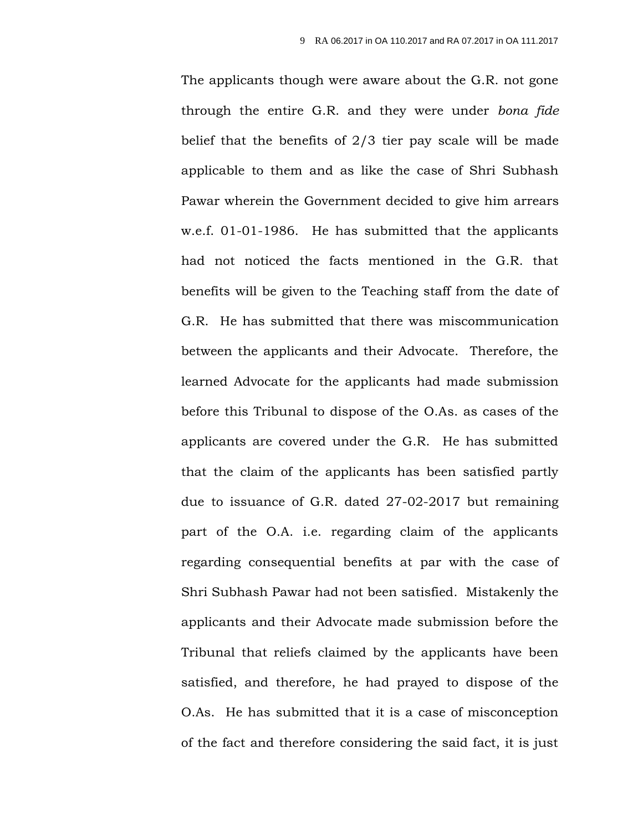The applicants though were aware about the G.R. not gone through the entire G.R. and they were under *bona fide* belief that the benefits of 2/3 tier pay scale will be made applicable to them and as like the case of Shri Subhash Pawar wherein the Government decided to give him arrears w.e.f. 01-01-1986. He has submitted that the applicants had not noticed the facts mentioned in the G.R. that benefits will be given to the Teaching staff from the date of G.R. He has submitted that there was miscommunication between the applicants and their Advocate. Therefore, the learned Advocate for the applicants had made submission before this Tribunal to dispose of the O.As. as cases of the applicants are covered under the G.R. He has submitted that the claim of the applicants has been satisfied partly due to issuance of G.R. dated 27-02-2017 but remaining part of the O.A. i.e. regarding claim of the applicants regarding consequential benefits at par with the case of Shri Subhash Pawar had not been satisfied. Mistakenly the applicants and their Advocate made submission before the Tribunal that reliefs claimed by the applicants have been satisfied, and therefore, he had prayed to dispose of the O.As. He has submitted that it is a case of misconception of the fact and therefore considering the said fact, it is just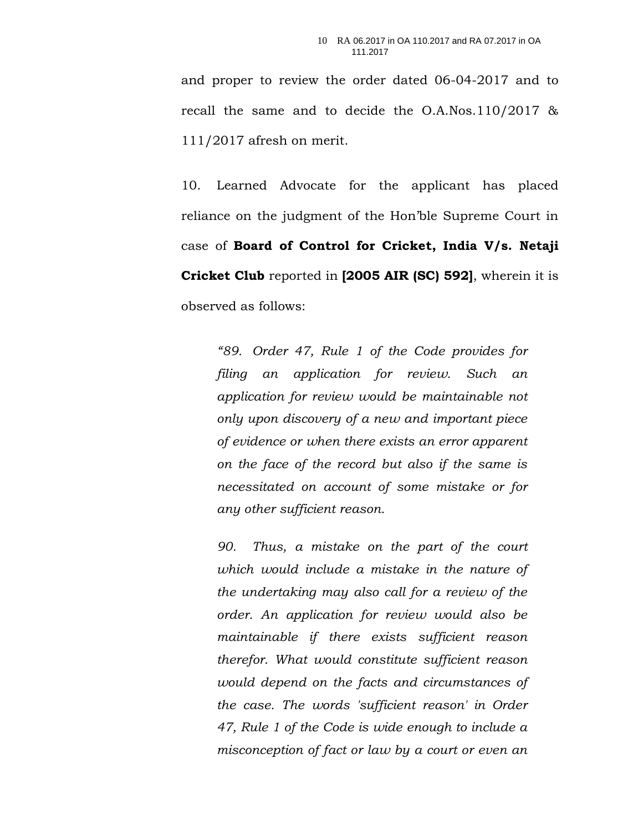and proper to review the order dated 06-04-2017 and to recall the same and to decide the O.A.Nos.110/2017 & 111/2017 afresh on merit.

10. Learned Advocate for the applicant has placed reliance on the judgment of the Hon'ble Supreme Court in case of **Board of Control for Cricket, India V/s. Netaji Cricket Club** reported in **[2005 AIR (SC) 592]**, wherein it is observed as follows:

*"89. Order 47, Rule 1 of the Code provides for filing an application for review. Such an application for review would be maintainable not only upon discovery of a new and important piece of evidence or when there exists an error apparent on the face of the record but also if the same is necessitated on account of some mistake or for any other sufficient reason.*

*90. Thus, a mistake on the part of the court which would include a mistake in the nature of the undertaking may also call for a review of the order. An application for review would also be maintainable if there exists sufficient reason therefor. What would constitute sufficient reason would depend on the facts and circumstances of the case. The words 'sufficient reason' in Order 47, Rule 1 of the Code is wide enough to include a misconception of fact or law by a court or even an*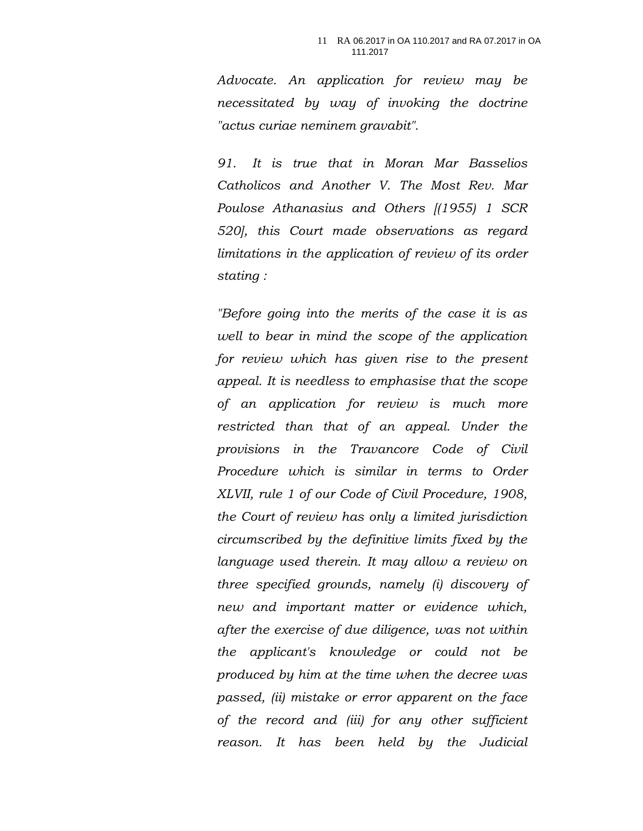*Advocate. An application for review may be necessitated by way of invoking the doctrine "actus curiae neminem gravabit".*

*91. It is true that in Moran Mar Basselios Catholicos and Another V. The Most Rev. Mar Poulose Athanasius and Others [(1955) 1 SCR 520], this Court made observations as regard limitations in the application of review of its order stating :*

*"Before going into the merits of the case it is as well to bear in mind the scope of the application for review which has given rise to the present appeal. It is needless to emphasise that the scope of an application for review is much more restricted than that of an appeal. Under the provisions in the Travancore Code of Civil Procedure which is similar in terms to Order XLVII, rule 1 of our Code of Civil Procedure, 1908, the Court of review has only a limited jurisdiction circumscribed by the definitive limits fixed by the language used therein. It may allow a review on three specified grounds, namely (i) discovery of new and important matter or evidence which, after the exercise of due diligence, was not within the applicant's knowledge or could not be produced by him at the time when the decree was passed, (ii) mistake or error apparent on the face of the record and (iii) for any other sufficient reason. It has been held by the Judicial*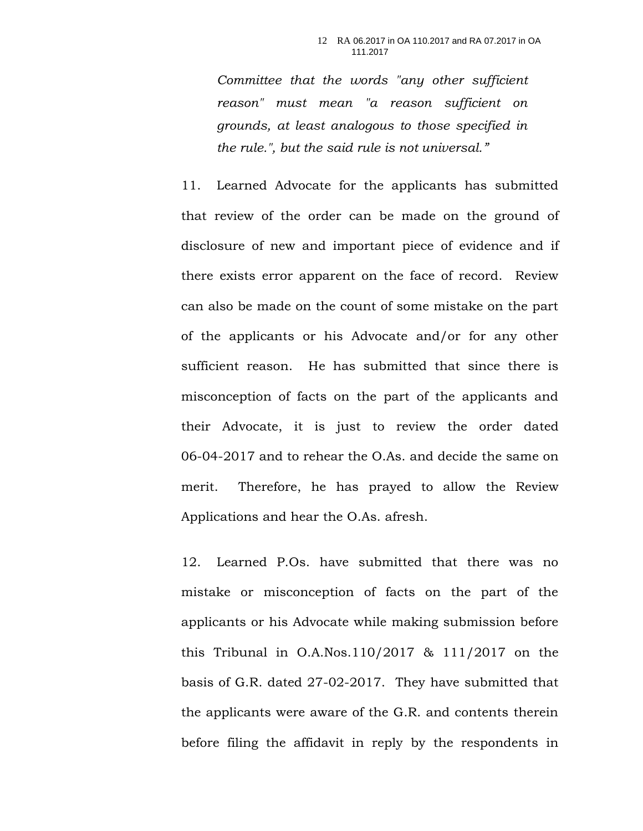*Committee that the words "any other sufficient reason" must mean "a reason sufficient on grounds, at least analogous to those specified in the rule.", but the said rule is not universal."*

11. Learned Advocate for the applicants has submitted that review of the order can be made on the ground of disclosure of new and important piece of evidence and if there exists error apparent on the face of record. Review can also be made on the count of some mistake on the part of the applicants or his Advocate and/or for any other sufficient reason. He has submitted that since there is misconception of facts on the part of the applicants and their Advocate, it is just to review the order dated 06-04-2017 and to rehear the O.As. and decide the same on merit. Therefore, he has prayed to allow the Review Applications and hear the O.As. afresh.

12. Learned P.Os. have submitted that there was no mistake or misconception of facts on the part of the applicants or his Advocate while making submission before this Tribunal in O.A.Nos.110/2017 & 111/2017 on the basis of G.R. dated 27-02-2017. They have submitted that the applicants were aware of the G.R. and contents therein before filing the affidavit in reply by the respondents in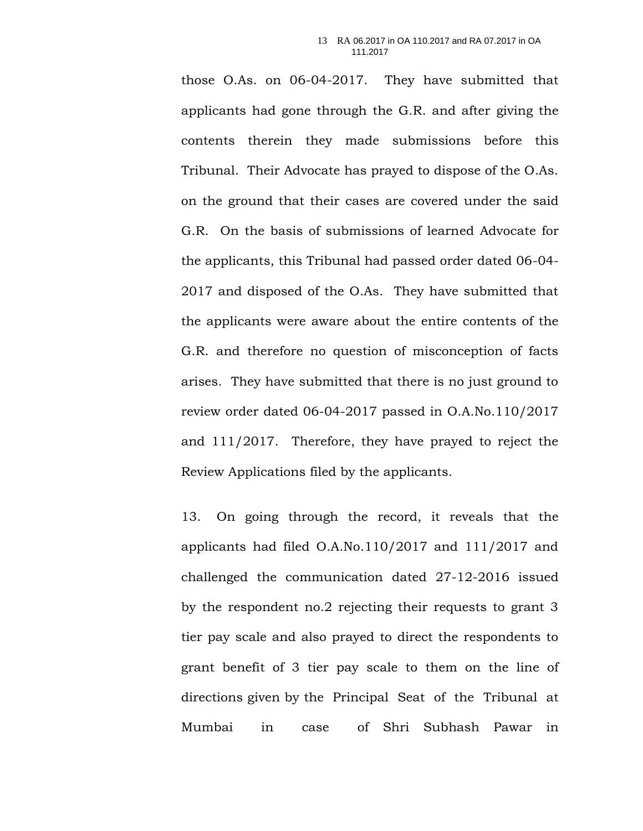those O.As. on 06-04-2017. They have submitted that applicants had gone through the G.R. and after giving the contents therein they made submissions before this Tribunal. Their Advocate has prayed to dispose of the O.As. on the ground that their cases are covered under the said G.R. On the basis of submissions of learned Advocate for the applicants, this Tribunal had passed order dated 06-04- 2017 and disposed of the O.As. They have submitted that the applicants were aware about the entire contents of the G.R. and therefore no question of misconception of facts arises. They have submitted that there is no just ground to review order dated 06-04-2017 passed in O.A.No.110/2017 and 111/2017. Therefore, they have prayed to reject the Review Applications filed by the applicants.

13. On going through the record, it reveals that the applicants had filed O.A.No.110/2017 and 111/2017 and challenged the communication dated 27-12-2016 issued by the respondent no.2 rejecting their requests to grant 3 tier pay scale and also prayed to direct the respondents to grant benefit of 3 tier pay scale to them on the line of directions given by the Principal Seat of the Tribunal at Mumbai in case of Shri Subhash Pawar in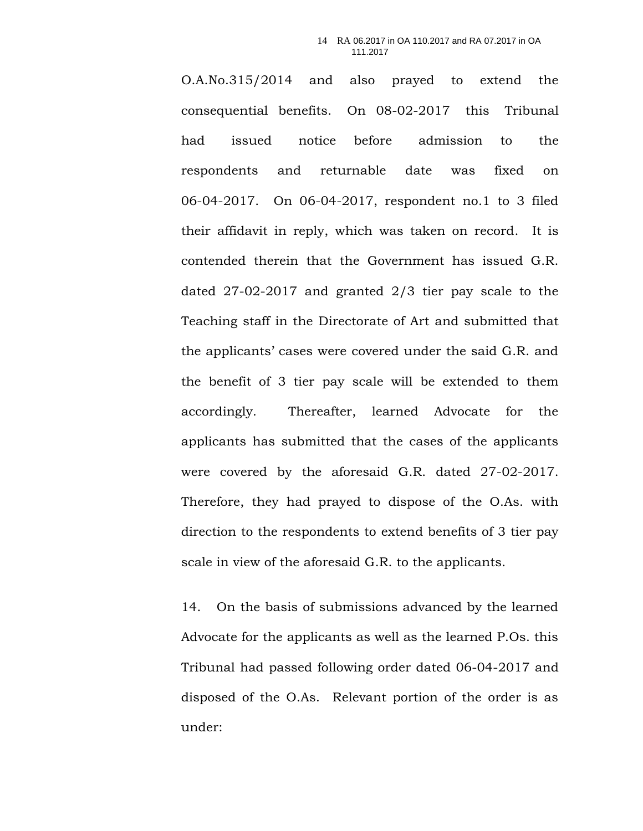O.A.No.315/2014 and also prayed to extend the consequential benefits. On 08-02-2017 this Tribunal had issued notice before admission to the respondents and returnable date was fixed on 06-04-2017. On 06-04-2017, respondent no.1 to 3 filed their affidavit in reply, which was taken on record. It is contended therein that the Government has issued G.R. dated 27-02-2017 and granted 2/3 tier pay scale to the Teaching staff in the Directorate of Art and submitted that the applicants' cases were covered under the said G.R. and the benefit of 3 tier pay scale will be extended to them accordingly. Thereafter, learned Advocate for the applicants has submitted that the cases of the applicants were covered by the aforesaid G.R. dated 27-02-2017. Therefore, they had prayed to dispose of the O.As. with direction to the respondents to extend benefits of 3 tier pay scale in view of the aforesaid G.R. to the applicants.

14. On the basis of submissions advanced by the learned Advocate for the applicants as well as the learned P.Os. this Tribunal had passed following order dated 06-04-2017 and disposed of the O.As. Relevant portion of the order is as under: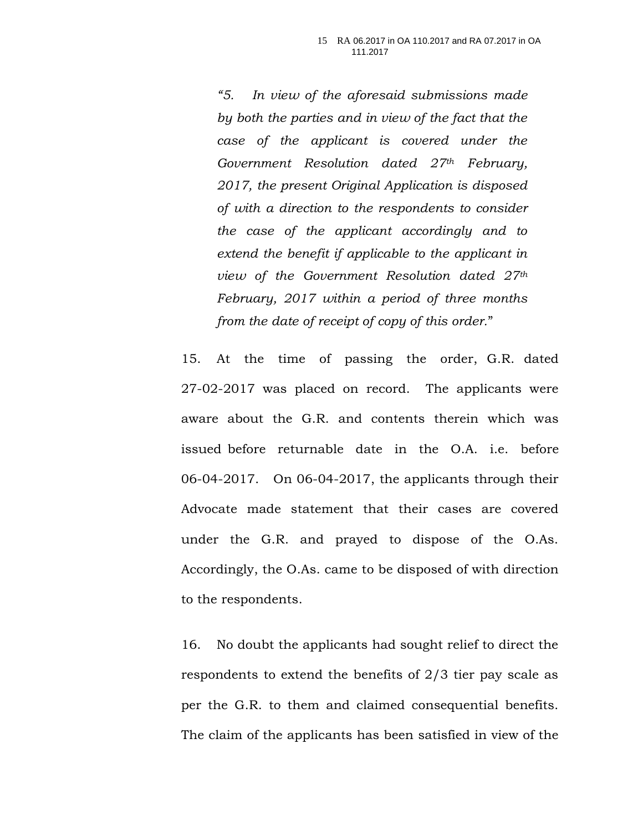*"5. In view of the aforesaid submissions made by both the parties and in view of the fact that the case of the applicant is covered under the Government Resolution dated 27th February, 2017, the present Original Application is disposed of with a direction to the respondents to consider the case of the applicant accordingly and to extend the benefit if applicable to the applicant in view of the Government Resolution dated 27th February, 2017 within a period of three months from the date of receipt of copy of this order.*"

15. At the time of passing the order, G.R. dated 27-02-2017 was placed on record. The applicants were aware about the G.R. and contents therein which was issued before returnable date in the O.A. i.e. before 06-04-2017. On 06-04-2017, the applicants through their Advocate made statement that their cases are covered under the G.R. and prayed to dispose of the O.As. Accordingly, the O.As. came to be disposed of with direction to the respondents.

16. No doubt the applicants had sought relief to direct the respondents to extend the benefits of 2/3 tier pay scale as per the G.R. to them and claimed consequential benefits. The claim of the applicants has been satisfied in view of the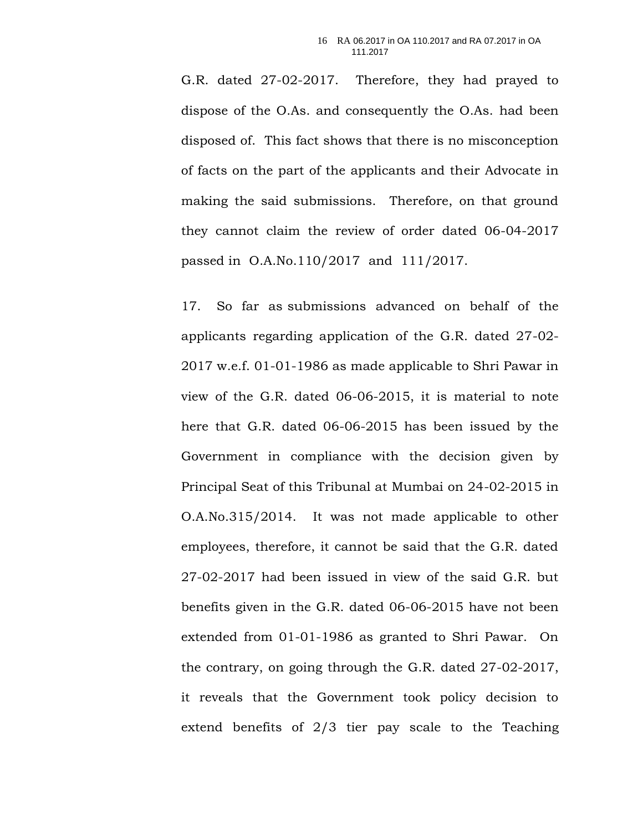G.R. dated 27-02-2017. Therefore, they had prayed to dispose of the O.As. and consequently the O.As. had been disposed of. This fact shows that there is no misconception of facts on the part of the applicants and their Advocate in making the said submissions. Therefore, on that ground they cannot claim the review of order dated 06-04-2017 passed in O.A.No.110/2017 and 111/2017.

17. So far as submissions advanced on behalf of the applicants regarding application of the G.R. dated 27-02- 2017 w.e.f. 01-01-1986 as made applicable to Shri Pawar in view of the G.R. dated 06-06-2015, it is material to note here that G.R. dated 06-06-2015 has been issued by the Government in compliance with the decision given by Principal Seat of this Tribunal at Mumbai on 24-02-2015 in O.A.No.315/2014. It was not made applicable to other employees, therefore, it cannot be said that the G.R. dated 27-02-2017 had been issued in view of the said G.R. but benefits given in the G.R. dated 06-06-2015 have not been extended from 01-01-1986 as granted to Shri Pawar. On the contrary, on going through the G.R. dated 27-02-2017, it reveals that the Government took policy decision to extend benefits of 2/3 tier pay scale to the Teaching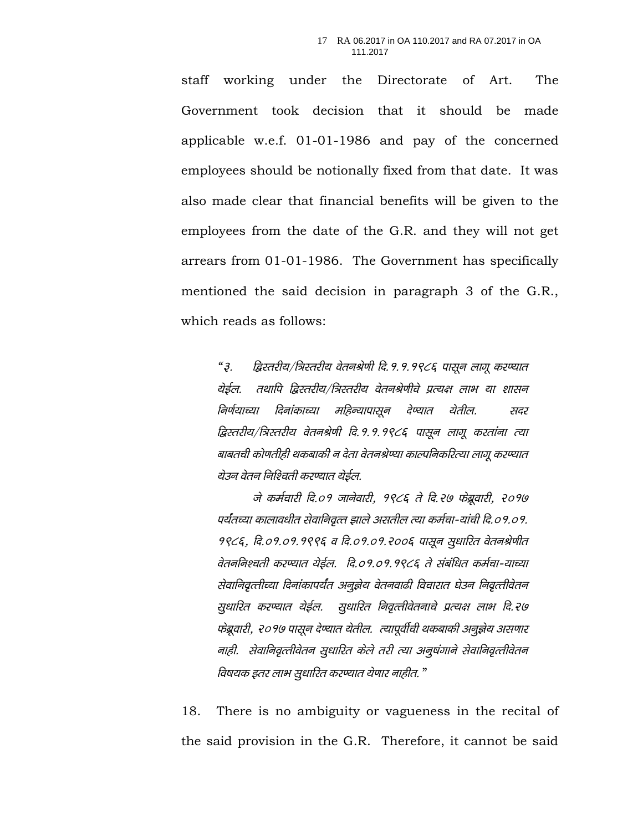staff working under the Directorate of Art. The Government took decision that it should be made applicable w.e.f. 01-01-1986 and pay of the concerned employees should be notionally fixed from that date. It was also made clear that financial benefits will be given to the employees from the date of the G.R. and they will not get arrears from 01-01-1986. The Government has specifically mentioned the said decision in paragraph 3 of the G.R., which reads as follows:

*"3- f}Lrjh;@f=Lrjh; osruJs.kh fn-1-1-1986 iklwu ykxw dj.;kr* रोईल. तथापि द्विस्तरीय/त्रिस्तरीय वेतनश्रेणीचे प्रत्यक्ष लाभ या शासन *निर्णयाच्या दिनांकाच्या महिन्यापासून देण्यात येतील. सदर द्विस्तरीय/त्रिस्तरीय वेतनश्रेणी दि.१.१.१९८६ पासून लागू करतांना त्या* बाबतची कोणतीही थकबाकी न देता वेतनश्रेण्या काल्पनिकरित्या लागू करण्यात येउन वेतन निश्चिती करण्यात येईल.

*ts deZpkjh fn-01 tkusokjh] 1986 rs fn-27 Qsczwokjh] 2017* **पर्यंतच्या कालावधीत सेवानिवृत्त झाले असतील त्या कर्मचा-यांची दि.०१.०१.** 9*९८६, दि.०१.०१.१९९६ व दि.०१.०१.२००६ पासून सुधारित वेतनश्रेणीत वेतननिश्चती करण्यात येईल. दि.०१.०१.१९८६ ते संबंधित कर्मचा-याच्या सेवानिवृत्तीच्या दिनांकापर्यंत अनुज्ञेय वेतनवाढी विचारात घेउन निवृत्तीवेतन सुधारित करण्यात येईल. सुधारित निवृत्तीवेतनाचे प्रत्यक्ष लाभ दि.२७* फेब्रूवारी, २०१७ पासून देण्यात येतील. त्यापूर्वीची थकबाकी अनूझेय असणार *नाही. सेवानिवृत्तीवेतन सुधारित केले तरी त्या अनूषंगाने सेवानिवृत्तीवेतन विषयक इतर लाभ सुधारित करण्यात येणार नाहीत.*"

18. There is no ambiguity or vagueness in the recital of the said provision in the G.R. Therefore, it cannot be said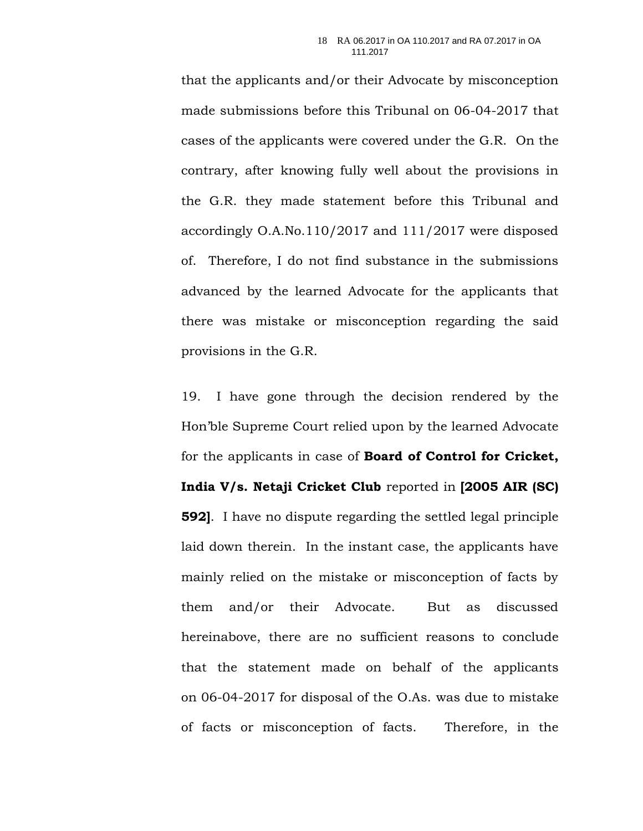that the applicants and/or their Advocate by misconception made submissions before this Tribunal on 06-04-2017 that cases of the applicants were covered under the G.R. On the contrary, after knowing fully well about the provisions in the G.R. they made statement before this Tribunal and accordingly O.A.No.110/2017 and 111/2017 were disposed of. Therefore, I do not find substance in the submissions advanced by the learned Advocate for the applicants that there was mistake or misconception regarding the said provisions in the G.R.

19. I have gone through the decision rendered by the Hon'ble Supreme Court relied upon by the learned Advocate for the applicants in case of **Board of Control for Cricket, India V/s. Netaji Cricket Club** reported in **[2005 AIR (SC) 592]**. I have no dispute regarding the settled legal principle laid down therein. In the instant case, the applicants have mainly relied on the mistake or misconception of facts by them and/or their Advocate. But as discussed hereinabove, there are no sufficient reasons to conclude that the statement made on behalf of the applicants on 06-04-2017 for disposal of the O.As. was due to mistake of facts or misconception of facts. Therefore, in the